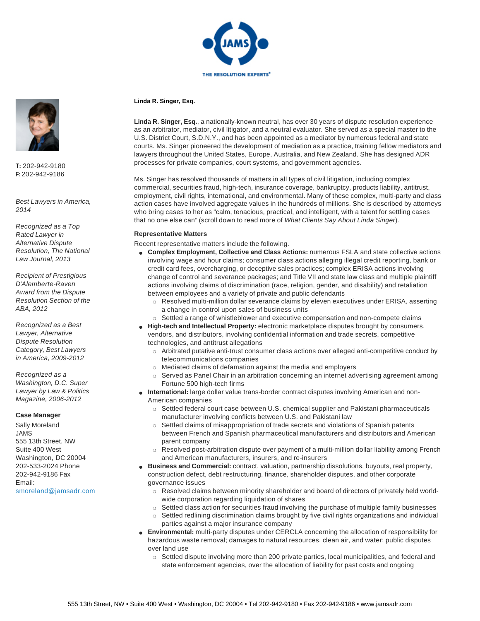

### **Linda R. Singer, Esq.**

**Linda R. Singer, Esq.**, a nationally-known neutral, has over 30 years of dispute resolution experience as an arbitrator, mediator, civil litigator, and a neutral evaluator. She served as a special master to the U.S. District Court, S.D.N.Y., and has been appointed as a mediator by numerous federal and state courts. Ms. Singer pioneered the development of mediation as a practice, training fellow mediators and lawyers throughout the United States, Europe, Australia, and New Zealand. She has designed ADR processes for private companies, court systems, and government agencies.

Ms. Singer has resolved thousands of matters in all types of civil litigation, including complex commercial, securities fraud, high-tech, insurance coverage, bankruptcy, products liability, antitrust, employment, civil rights, international, and environmental. Many of these complex, multi-party and class action cases have involved aggregate values in the hundreds of millions. She is described by attorneys who bring cases to her as "calm, tenacious, practical, and intelligent, with a talent for settling cases that no one else can" (scroll down to read more of What Clients Say About Linda Singer).

### **Representative Matters**

- Recent representative matters include the following.
- **Complex Employment, Collective and Class Actions:** numerous FSLA and state collective actions involving wage and hour claims; consumer class actions alleging illegal credit reporting, bank or credit card fees, overcharging, or deceptive sales practices; complex ERISA actions involving change of control and severance packages; and Title VII and state law class and multiple plaintiff actions involving claims of discrimination (race, religion, gender, and disability) and retaliation between employees and a variety of private and public defendants
	- ❍ Resolved multi-million dollar severance claims by eleven executives under ERISA, asserting a change in control upon sales of business units
	- ❍ Settled a range of whistleblower and executive compensation and non-compete claims
- **High-tech and Intellectual Property:** electronic marketplace disputes brought by consumers, vendors, and distributors, involving confidential information and trade secrets, competitive technologies, and antitrust allegations
	- ❍ Arbitrated putative anti-trust consumer class actions over alleged anti-competitive conduct by telecommunications companies
	- ❍ Mediated claims of defamation against the media and employers
	- ❍ Served as Panel Chair in an arbitration concerning an internet advertising agreement among Fortune 500 high-tech firms
- **International:** large dollar value trans-border contract disputes involving American and non-American companies
	- ❍ Settled federal court case between U.S. chemical supplier and Pakistani pharmaceuticals manufacturer involving conflicts between U.S. and Pakistani law
	- ❍ Settled claims of misappropriation of trade secrets and violations of Spanish patents between French and Spanish pharmaceutical manufacturers and distributors and American parent company
	- ❍ Resolved post-arbitration dispute over payment of a multi-million dollar liability among French and American manufacturers, insurers, and re-insurers
- **Business and Commercial:** contract, valuation, partnership dissolutions, buyouts, real property, construction defect, debt restructuring, finance, shareholder disputes, and other corporate governance issues
	- ❍ Resolved claims between minority shareholder and board of directors of privately held worldwide corporation regarding liquidation of shares
	- ❍ Settled class action for securities fraud involving the purchase of multiple family businesses
	- ❍ Settled redlining discrimination claims brought by five civil rights organizations and individual parties against a major insurance company
- **Environmental:** multi-party disputes under CERCLA concerning the allocation of responsibility for hazardous waste removal; damages to natural resources, clean air, and water; public disputes over land use
	- ❍ Settled dispute involving more than 200 private parties, local municipalities, and federal and state enforcement agencies, over the allocation of liability for past costs and ongoing



**T:** 202-942-9180 **F:** 202-942-9186

Best Lawyers in America, 2014

Recognized as a Top Rated Lawyer in Alternative Dispute Resolution, The National Law Journal, 2013

Recipient of Prestigious D'Alemberte-Raven Award from the Dispute Resolution Section of the ABA, 2012

Recognized as a Best Lawyer, Alternative Dispute Resolution Category, Best Lawyers in America, 2009-2012

Recognized as a Washington, D.C. Super Lawyer by Law & Politics Magazine, 2006-2012

#### **Case Manager**

Sally Moreland JAMS 555 13th Street, NW Suite 400 West Washington, DC 20004 202-533-2024 Phone 202-942-9186 Fax Email: smoreland@jamsadr.com